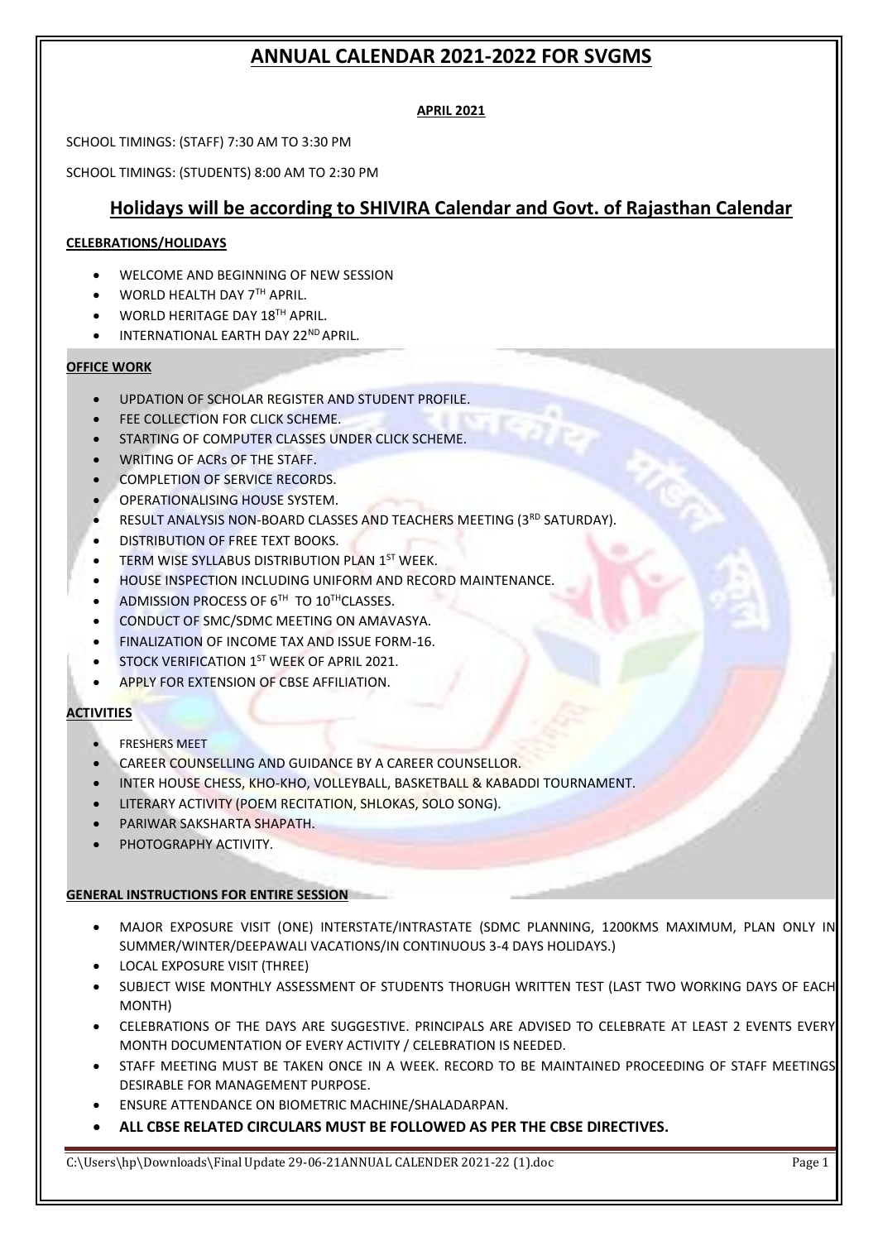#### **APRIL 2021**

SCHOOL TIMINGS: (STAFF) 7:30 AM TO 3:30 PM

SCHOOL TIMINGS: (STUDENTS) 8:00 AM TO 2:30 PM

## **Holidays will be according to SHIVIRA Calendar and Govt. of Rajasthan Calendar**

#### **CELEBRATIONS/HOLIDAYS**

- WELCOME AND BEGINNING OF NEW SESSION
- WORLD HEALTH DAY 7TH APRIL.
- WORLD HERITAGE DAY 18TH APRIL.
- INTERNATIONAL EARTH DAY 22<sup>ND</sup> APRIL.

#### **OFFICE WORK**

- UPDATION OF SCHOLAR REGISTER AND STUDENT PROFILE.
- FEE COLLECTION FOR CLICK SCHEME.
- STARTING OF COMPUTER CLASSES UNDER CLICK SCHEME.
- WRITING OF ACRS OF THE STAFF.
- COMPLETION OF SERVICE RECORDS.
- OPERATIONALISING HOUSE SYSTEM.
- RESULT ANALYSIS NON-BOARD CLASSES AND TEACHERS MEETING (3RD SATURDAY).
- DISTRIBUTION OF FREE TEXT BOOKS.
- **TERM WISE SYLLABUS DISTRIBUTION PLAN 1ST WEEK.**
- HOUSE INSPECTION INCLUDING UNIFORM AND RECORD MAINTENANCE.
- $\bullet$  ADMISSION PROCESS OF 6<sup>TH</sup> TO 10<sup>TH</sup>CLASSES.
- CONDUCT OF SMC/SDMC MEETING ON AMAVASYA.
- FINALIZATION OF INCOME TAX AND ISSUE FORM-16.
- STOCK VERIFICATION 1ST WEEK OF APRIL 2021.
- APPLY FOR EXTENSION OF CBSE AFFILIATION.

#### **ACTIVITIES**

- **FRESHERS MEET**
- CAREER COUNSELLING AND GUIDANCE BY A CAREER COUNSELLOR.
- INTER HOUSE CHESS, KHO-KHO, VOLLEYBALL, BASKETBALL & KABADDI TOURNAMENT.
- LITERARY ACTIVITY (POEM RECITATION, SHLOKAS, SOLO SONG).
- PARIWAR SAKSHARTA SHAPATH.
- PHOTOGRAPHY ACTIVITY.

#### **GENERAL INSTRUCTIONS FOR ENTIRE SESSION**

- MAJOR EXPOSURE VISIT (ONE) INTERSTATE/INTRASTATE (SDMC PLANNING, 1200KMS MAXIMUM, PLAN ONLY IN SUMMER/WINTER/DEEPAWALI VACATIONS/IN CONTINUOUS 3-4 DAYS HOLIDAYS.)
- LOCAL EXPOSURE VISIT (THREE)
- SUBJECT WISE MONTHLY ASSESSMENT OF STUDENTS THORUGH WRITTEN TEST (LAST TWO WORKING DAYS OF EACH MONTH)
- CELEBRATIONS OF THE DAYS ARE SUGGESTIVE. PRINCIPALS ARE ADVISED TO CELEBRATE AT LEAST 2 EVENTS EVERY MONTH DOCUMENTATION OF EVERY ACTIVITY / CELEBRATION IS NEEDED.
- STAFF MEETING MUST BE TAKEN ONCE IN A WEEK. RECORD TO BE MAINTAINED PROCEEDING OF STAFF MEETINGS DESIRABLE FOR MANAGEMENT PURPOSE.
- ENSURE ATTENDANCE ON BIOMETRIC MACHINE/SHALADARPAN.
- **ALL CBSE RELATED CIRCULARS MUST BE FOLLOWED AS PER THE CBSE DIRECTIVES.**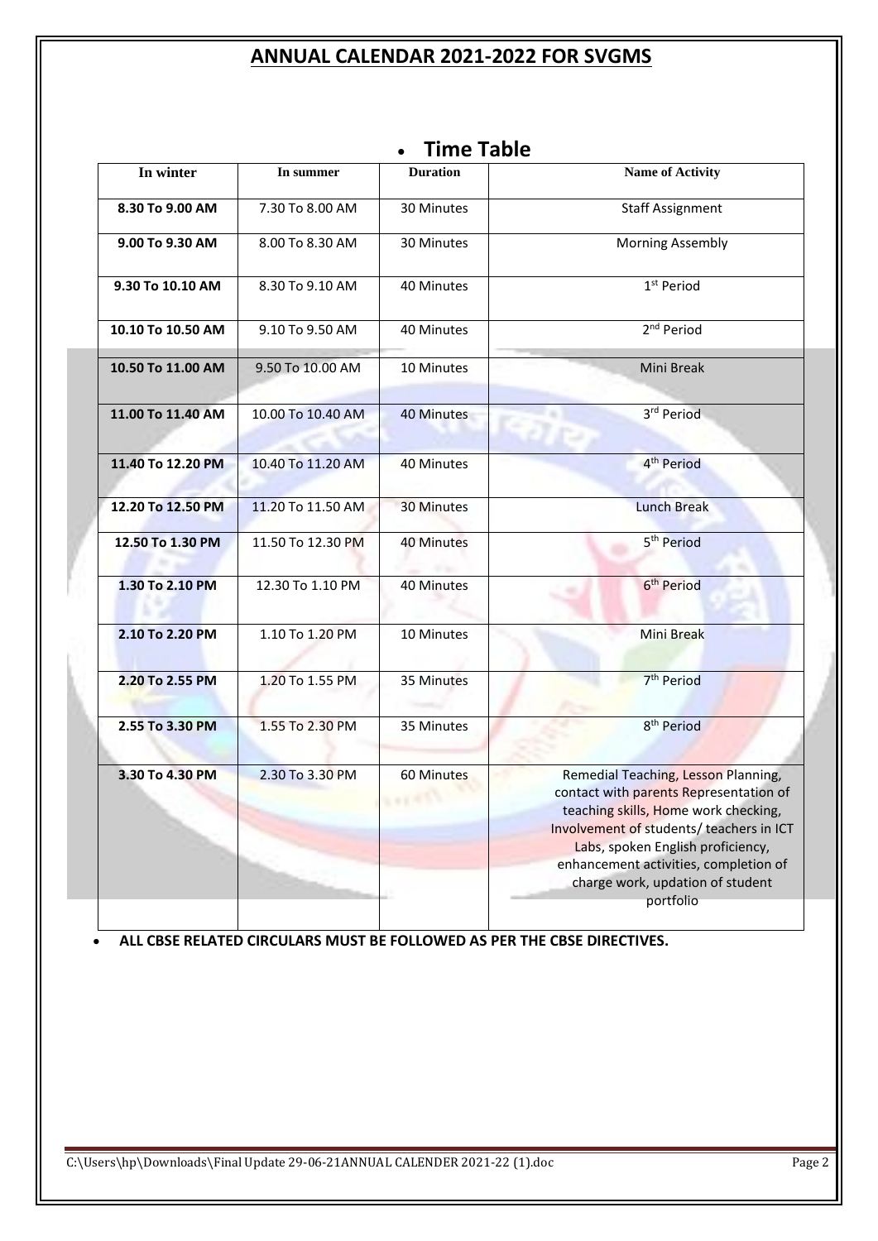|                                    |                   | <b>Time Table</b><br>٠                                                                                                                                                                                                                                                                                            |                         |  |  |
|------------------------------------|-------------------|-------------------------------------------------------------------------------------------------------------------------------------------------------------------------------------------------------------------------------------------------------------------------------------------------------------------|-------------------------|--|--|
| In winter                          | In summer         | <b>Duration</b>                                                                                                                                                                                                                                                                                                   | <b>Name of Activity</b> |  |  |
| 8.30 To 9.00 AM                    | 7.30 To 8.00 AM   | 30 Minutes                                                                                                                                                                                                                                                                                                        | <b>Staff Assignment</b> |  |  |
| 9.00 To 9.30 AM                    | 8.00 To 8.30 AM   | 30 Minutes                                                                                                                                                                                                                                                                                                        | <b>Morning Assembly</b> |  |  |
| 9.30 To 10.10 AM                   | 8.30 To 9.10 AM   | 40 Minutes                                                                                                                                                                                                                                                                                                        | 1 <sup>st</sup> Period  |  |  |
| 10.10 To 10.50 AM                  | 9.10 To 9.50 AM   | 40 Minutes                                                                                                                                                                                                                                                                                                        | 2 <sup>nd</sup> Period  |  |  |
| 10.50 To 11.00 AM                  | 9.50 To 10.00 AM  | 10 Minutes                                                                                                                                                                                                                                                                                                        | Mini Break              |  |  |
| 11.00 To 11.40 AM                  | 10.00 To 10.40 AM | 40 Minutes                                                                                                                                                                                                                                                                                                        | 3rd Period              |  |  |
| 11.40 To 12.20 PM                  | 10.40 To 11.20 AM | 40 Minutes                                                                                                                                                                                                                                                                                                        | 4 <sup>th</sup> Period  |  |  |
| 12.20 To 12.50 PM                  | 11.20 To 11.50 AM | <b>30 Minutes</b>                                                                                                                                                                                                                                                                                                 | <b>Lunch Break</b>      |  |  |
| 12.50 To 1.30 PM                   | 11.50 To 12.30 PM | <b>40 Minutes</b>                                                                                                                                                                                                                                                                                                 | 5 <sup>th</sup> Period  |  |  |
| 1.30 To 2.10 PM                    | 12.30 To 1.10 PM  | 40 Minutes                                                                                                                                                                                                                                                                                                        | 6 <sup>th</sup> Period  |  |  |
| 2.10 To 2.20 PM                    | 1.10 To 1.20 PM   | 10 Minutes                                                                                                                                                                                                                                                                                                        | Mini Break              |  |  |
| 2.20 To 2.55 PM                    | 1.20 To 1.55 PM   | 35 Minutes                                                                                                                                                                                                                                                                                                        | 7 <sup>th</sup> Period  |  |  |
| 2.55 To 3.30 PM                    | 1.55 To 2.30 PM   | 35 Minutes                                                                                                                                                                                                                                                                                                        | 8 <sup>th</sup> Period  |  |  |
| 3.30 To 4.30 PM<br>2.30 To 3.30 PM |                   | 60 Minutes<br>Remedial Teaching, Lesson Planning,<br>contact with parents Representation of<br><b>AFTER</b><br>teaching skills, Home work checking,<br>Involvement of students/ teachers in ICT<br>Labs, spoken English proficiency,<br>enhancement activities, completion of<br>charge work, updation of student |                         |  |  |
|                                    |                   |                                                                                                                                                                                                                                                                                                                   | portfolio               |  |  |

# • **Time Table**

• **ALL CBSE RELATED CIRCULARS MUST BE FOLLOWED AS PER THE CBSE DIRECTIVES.**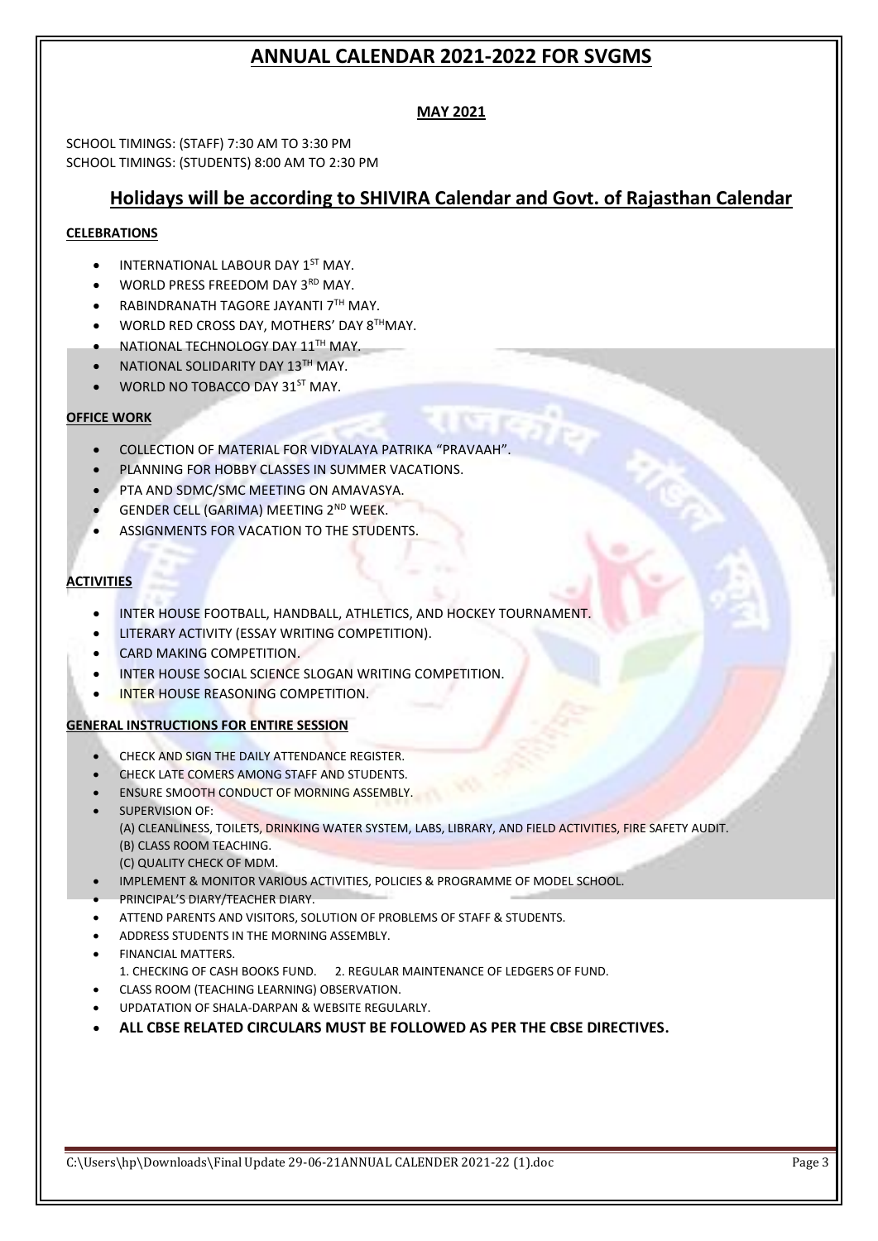## **MAY 2021**

SCHOOL TIMINGS: (STAFF) 7:30 AM TO 3:30 PM SCHOOL TIMINGS: (STUDENTS) 8:00 AM TO 2:30 PM

# **Holidays will be according to SHIVIRA Calendar and Govt. of Rajasthan Calendar**

### **CELEBRATIONS**

- INTERNATIONAL LABOUR DAY 1<sup>ST</sup> MAY.
- WORLD PRESS FREEDOM DAY 3RD MAY.
- RABINDRANATH TAGORE JAYANTI 7TH MAY.
- WORLD RED CROSS DAY, MOTHERS' DAY 8THMAY.
- NATIONAL TECHNOLOGY DAY 11TH MAY.
- NATIONAL SOLIDARITY DAY 13TH MAY.
- WORLD NO TOBACCO DAY 31ST MAY.

### **OFFICE WORK**

- COLLECTION OF MATERIAL FOR VIDYALAYA PATRIKA "PRAVAAH".
- PLANNING FOR HOBBY CLASSES IN SUMMER VACATIONS.
- PTA AND SDMC/SMC MEETING ON AMAVASYA.
- GENDER CELL (GARIMA) MEETING 2ND WEEK.
- ASSIGNMENTS FOR VACATION TO THE STUDENTS.

### **ACTIVITIES**

- INTER HOUSE FOOTBALL, HANDBALL, ATHLETICS, AND HOCKEY TOURNAMENT.
- LITERARY ACTIVITY (ESSAY WRITING COMPETITION).
- CARD MAKING COMPETITION.
- INTER HOUSE SOCIAL SCIENCE SLOGAN WRITING COMPETITION.
- INTER HOUSE REASONING COMPETITION.

#### **GENERAL INSTRUCTIONS FOR ENTIRE SESSION**

- CHECK AND SIGN THE DAILY ATTENDANCE REGISTER.
- **CHECK LATE COMERS AMONG STAFF AND STUDENTS.**
- ENSURE SMOOTH CONDUCT OF MORNING ASSEMBLY.
- SUPERVISION OF: (A) CLEANLINESS, TOILETS, DRINKING WATER SYSTEM, LABS, LIBRARY, AND FIELD ACTIVITIES, FIRE SAFETY AUDIT. (B) CLASS ROOM TEACHING. (C) QUALITY CHECK OF MDM.
- IMPLEMENT & MONITOR VARIOUS ACTIVITIES, POLICIES & PROGRAMME OF MODEL SCHOOL.
- PRINCIPAL'S DIARY/TEACHER DIARY.
- ATTEND PARENTS AND VISITORS, SOLUTION OF PROBLEMS OF STAFF & STUDENTS.
- ADDRESS STUDENTS IN THE MORNING ASSEMBLY.
- FINANCIAL MATTERS. 1. CHECKING OF CASH BOOKS FUND. 2. REGULAR MAINTENANCE OF LEDGERS OF FUND.
- CLASS ROOM (TEACHING LEARNING) OBSERVATION.
- UPDATATION OF SHALA-DARPAN & WEBSITE REGULARLY.
- **ALL CBSE RELATED CIRCULARS MUST BE FOLLOWED AS PER THE CBSE DIRECTIVES.**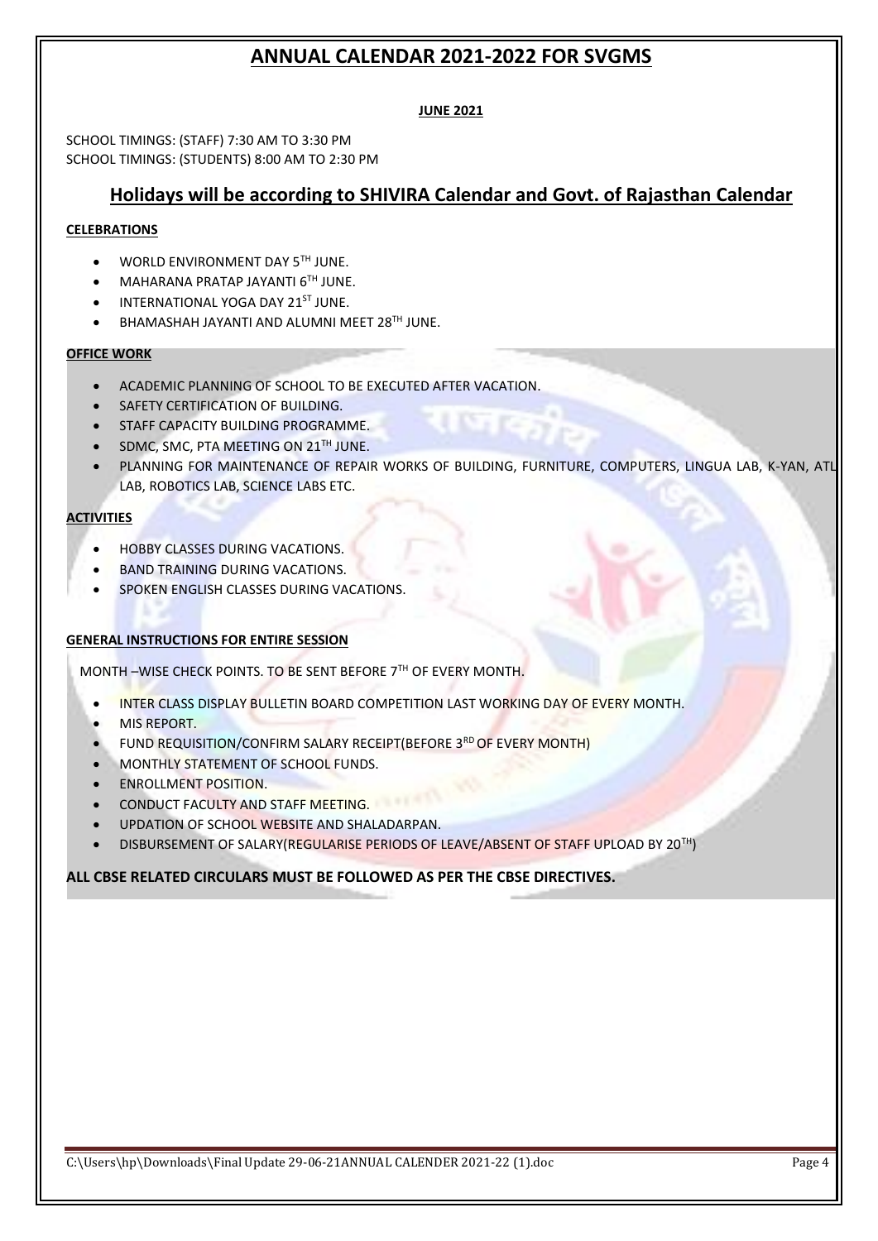#### **JUNE 2021**

SCHOOL TIMINGS: (STAFF) 7:30 AM TO 3:30 PM SCHOOL TIMINGS: (STUDENTS) 8:00 AM TO 2:30 PM

## **Holidays will be according to SHIVIRA Calendar and Govt. of Rajasthan Calendar**

#### **CELEBRATIONS**

- WORLD ENVIRONMENT DAY 5TH JUNE.
- **MAHARANA PRATAP JAYANTI 6TH JUNE.**
- INTERNATIONAL YOGA DAY 21<sup>ST</sup> JUNE.
- BHAMASHAH JAYANTI AND ALUMNI MEET 28TH JUNE.

#### **OFFICE WORK**

- ACADEMIC PLANNING OF SCHOOL TO BE EXECUTED AFTER VACATION.
- SAFETY CERTIFICATION OF BUILDING.
- STAFF CAPACITY BUILDING PROGRAMME.
- SDMC, SMC, PTA MEETING ON 21<sup>TH</sup> JUNE.
- PLANNING FOR MAINTENANCE OF REPAIR WORKS OF BUILDING, FURNITURE, COMPUTERS, LINGUA LAB, K-YAN, ATL LAB, ROBOTICS LAB, SCIENCE LABS ETC.

#### **ACTIVITIES**

- HOBBY CLASSES DURING VACATIONS.
- BAND TRAINING DURING VACATIONS.
- SPOKEN ENGLISH CLASSES DURING VACATIONS.

#### **GENERAL INSTRUCTIONS FOR ENTIRE SESSION**

MONTH –WISE CHECK POINTS. TO BE SENT BEFORE 7TH OF EVERY MONTH.

- INTER CLASS DISPLAY BULLETIN BOARD COMPETITION LAST WORKING DAY OF EVERY MONTH.
- MIS REPORT.
- FUND REQUISITION/CONFIRM SALARY RECEIPT(BEFORE 3RD OF EVERY MONTH)
- MONTHLY STATEMENT OF SCHOOL FUNDS.
- ENROLLMENT POSITION.
- CONDUCT FACULTY AND STAFF MEETING.
- UPDATION OF SCHOOL WEBSITE AND SHALADARPAN.
- DISBURSEMENT OF SALARY(REGULARISE PERIODS OF LEAVE/ABSENT OF STAFF UPLOAD BY 20TH)

#### **ALL CBSE RELATED CIRCULARS MUST BE FOLLOWED AS PER THE CBSE DIRECTIVES.**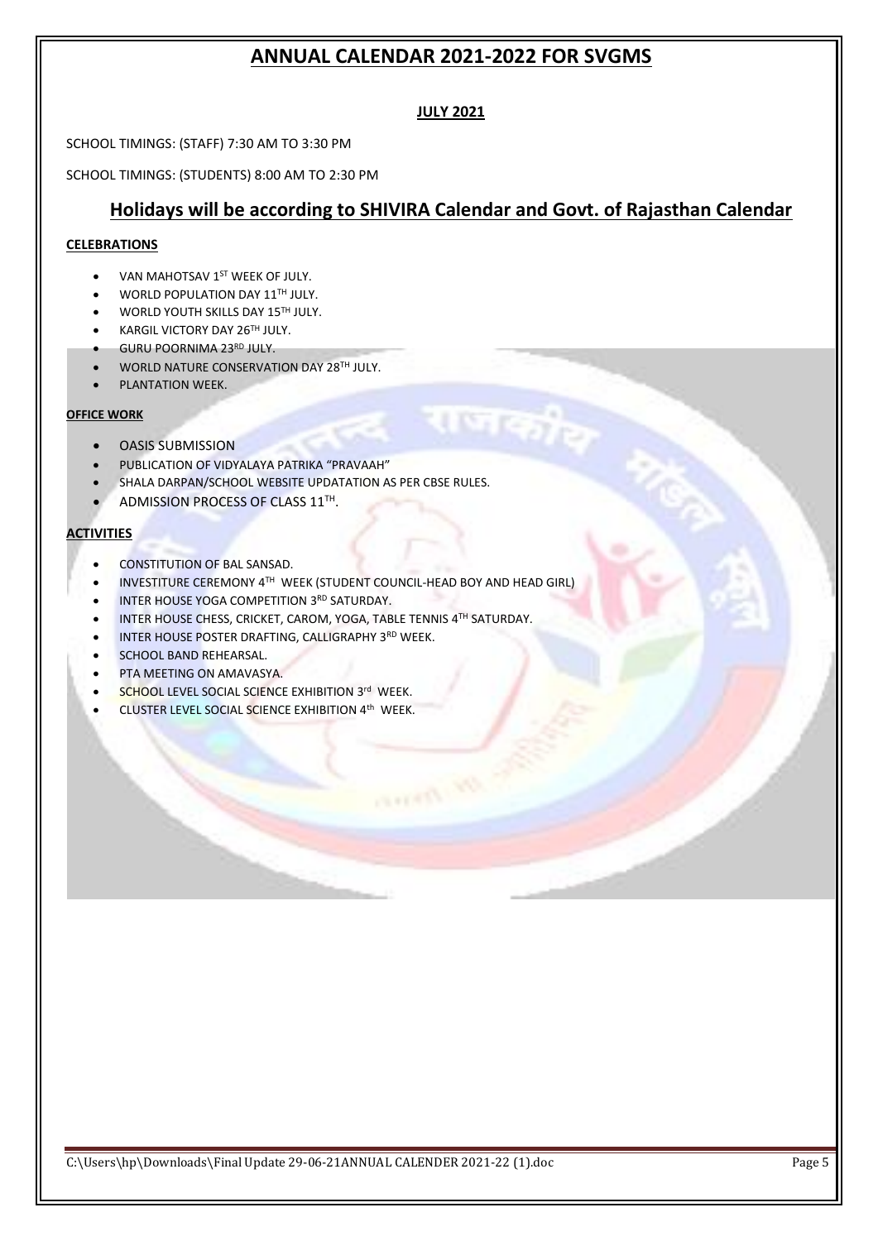### **JULY 2021**

SCHOOL TIMINGS: (STAFF) 7:30 AM TO 3:30 PM

SCHOOL TIMINGS: (STUDENTS) 8:00 AM TO 2:30 PM

# **Holidays will be according to SHIVIRA Calendar and Govt. of Rajasthan Calendar**

OF Bring

राजकीकृ

#### **CELEBRATIONS**

- VAN MAHOTSAV 1<sup>ST</sup> WEEK OF JULY.
- WORLD POPULATION DAY 11TH JULY.
- WORLD YOUTH SKILLS DAY 15TH JULY.
- KARGIL VICTORY DAY 26TH JULY.
- GURU POORNIMA 23RD JULY.
- WORLD NATURE CONSERVATION DAY 28TH JULY.
- PLANTATION WEEK.

#### **OFFICE WORK**

- OASIS SUBMISSION
- PUBLICATION OF VIDYALAYA PATRIKA "PRAVAAH"
- SHALA DARPAN/SCHOOL WEBSITE UPDATATION AS PER CBSE RULES.
- ADMISSION PROCESS OF CLASS  $11<sup>TH</sup>$ .

#### **ACTIVITIES**

- CONSTITUTION OF BAL SANSAD.
- **INVESTITURE CEREMONY 4TH WEEK (STUDENT COUNCIL-HEAD BOY AND HEAD GIRL)**
- **INTER HOUSE YOGA COMPETITION 3RD SATURDAY.**
- INTER HOUSE CHESS, CRICKET, CAROM, YOGA, TABLE TENNIS 4TH SATURDAY.
- INTER HOUSE POSTER DRAFTING, CALLIGRAPHY 3RD WEEK.
- SCHOOL BAND REHEARSAL.
- PTA MEETING ON AMAVASYA.
- SCHOOL LEVEL SOCIAL SCIENCE EXHIBITION 3rd WEEK.
- CLUSTER LEVEL SOCIAL SCIENCE EXHIBITION 4th WEEK.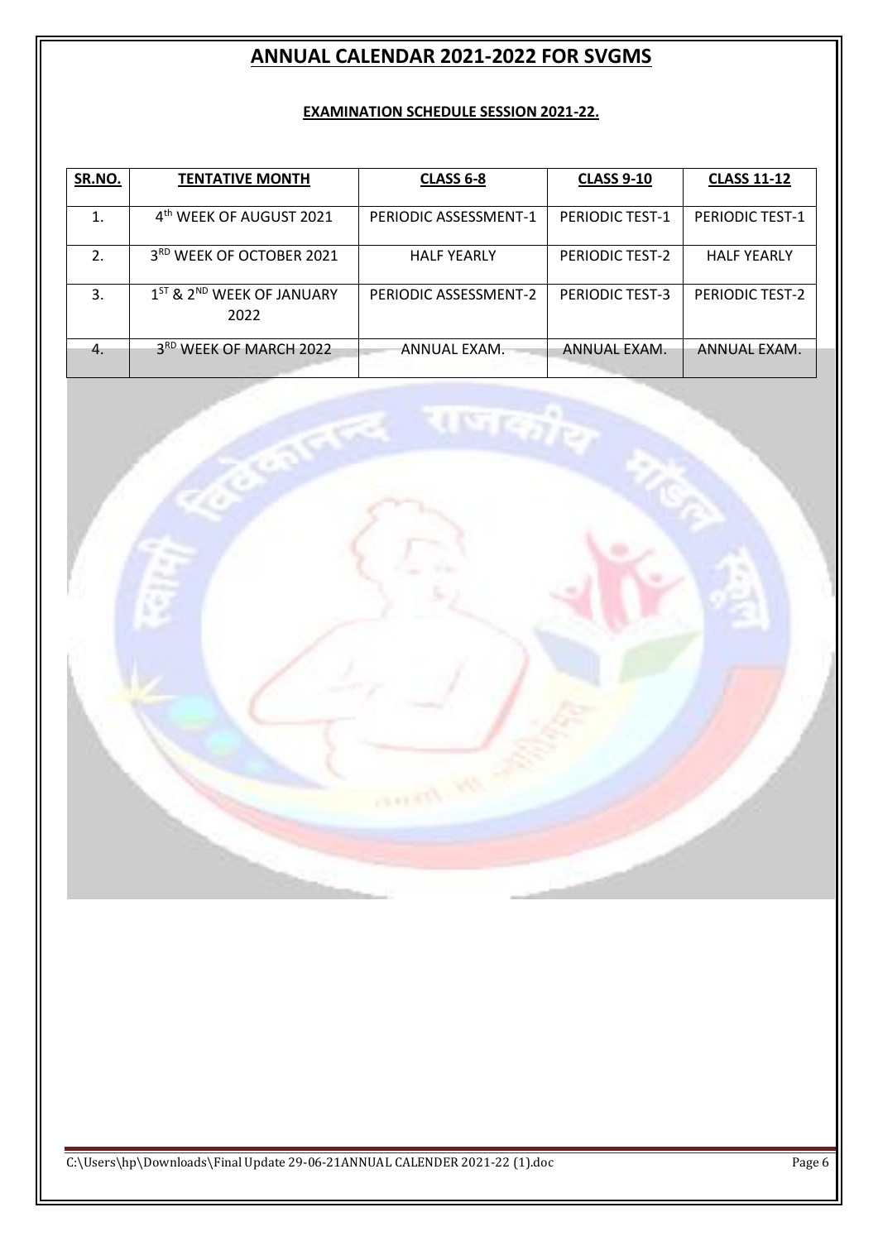## **EXAMINATION SCHEDULE SESSION 2021-22.**

| SR.NO.           | <b>TENTATIVE MONTH</b>                                    | <b>CLASS 6-8</b>      | <b>CLASS 9-10</b>      | <b>CLASS 11-12</b>     |
|------------------|-----------------------------------------------------------|-----------------------|------------------------|------------------------|
|                  | 4 <sup>th</sup> WEEK OF AUGUST 2021                       | PERIODIC ASSESSMENT-1 | <b>PERIODIC TEST-1</b> | <b>PERIODIC TEST-1</b> |
| $\overline{2}$ . | 3 <sup>RD</sup> WEEK OF OCTOBER 2021                      | <b>HALF YEARLY</b>    | PERIODIC TEST-2        | <b>HALF YEARLY</b>     |
| 3.               | 1 <sup>ST</sup> & 2 <sup>ND</sup> WEEK OF JANUARY<br>2022 | PERIODIC ASSESSMENT-2 | PERIODIC TEST-3        | <b>PERIODIC TEST-2</b> |
| $-4.$            | 3 <sup>RD</sup> WEEK OF MARCH 2022                        | ANNUAL EXAM.          | ANNUAL EXAM.           | ANNUAL EXAM.           |

**Troyers** 

् राजकी<sub>षे</sub>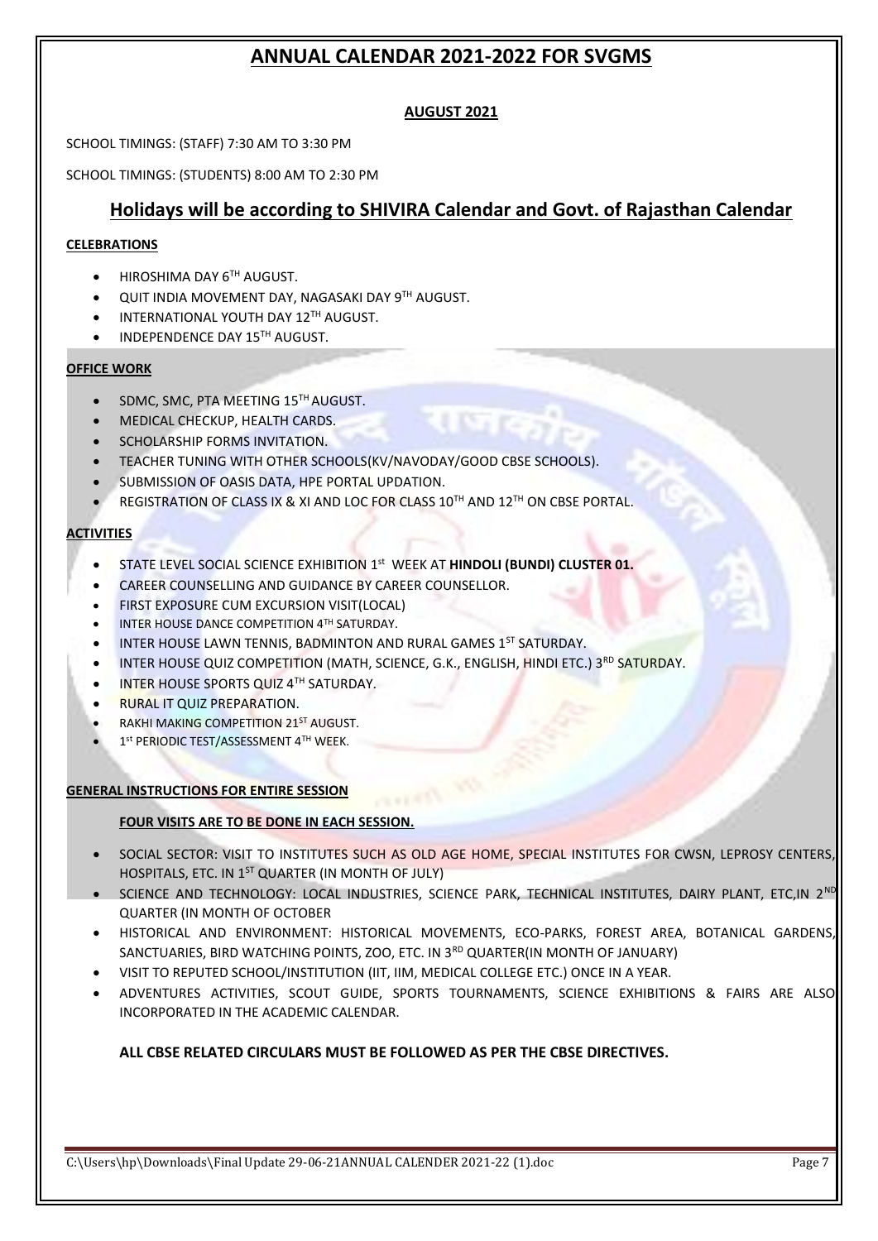## **AUGUST 2021**

SCHOOL TIMINGS: (STAFF) 7:30 AM TO 3:30 PM

SCHOOL TIMINGS: (STUDENTS) 8:00 AM TO 2:30 PM

# **Holidays will be according to SHIVIRA Calendar and Govt. of Rajasthan Calendar**

#### **CELEBRATIONS**

- **HIROSHIMA DAY 6TH AUGUST.**
- **QUIT INDIA MOVEMENT DAY, NAGASAKI DAY 9TH AUGUST.**
- **INTERNATIONAL YOUTH DAY 12TH AUGUST.**
- INDEPENDENCE DAY 15TH AUGUST.

#### **OFFICE WORK**

- SDMC, SMC, PTA MEETING 15<sup>TH</sup> AUGUST.
- MEDICAL CHECKUP, HEALTH CARDS.
- SCHOLARSHIP FORMS INVITATION.
- TEACHER TUNING WITH OTHER SCHOOLS(KV/NAVODAY/GOOD CBSE SCHOOLS).
- **SUBMISSION OF OASIS DATA, HPE PORTAL UPDATION.**
- **REGISTRATION OF CLASS IX & XI AND LOC FOR CLASS 10<sup>TH</sup> AND 12<sup>TH</sup> ON CBSE PORTAL.**

#### **ACTIVITIES**

- **STATE LEVEL SOCIAL SCIENCE EXHIBITION 1st WEEK AT HINDOLI (BUNDI) CLUSTER 01.**
- CAREER COUNSELLING AND GUIDANCE BY CAREER COUNSELLOR.
- FIRST EXPOSURE CUM EXCURSION VISIT(LOCAL)
- **INTER HOUSE DANCE COMPETITION 4TH SATURDAY.**
- INTER HOUSE LAWN TENNIS, BADMINTON AND RURAL GAMES 1ST SATURDAY.
- INTER HOUSE QUIZ COMPETITION (MATH, SCIENCE, G.K., ENGLISH, HINDI ETC.) 3RD SATURDAY.
- INTER HOUSE SPORTS QUIZ 4TH SATURDAY.
- RURAL IT QUIZ PREPARATION.
- **RAKHI MAKING COMPETITION 21ST AUGUST.**
- $\bullet$  1<sup>st</sup> PERIODIC TEST/ASSESSMENT 4TH WEEK.

#### **GENERAL INSTRUCTIONS FOR ENTIRE SESSION**

#### **FOUR VISITS ARE TO BE DONE IN EACH SESSION.**

- SOCIAL SECTOR: VISIT TO INSTITUTES SUCH AS OLD AGE HOME, SPECIAL INSTITUTES FOR CWSN, LEPROSY CENTERS, HOSPITALS, ETC. IN 1<sup>ST</sup> QUARTER (IN MONTH OF JULY)
- SCIENCE AND TECHNOLOGY: LOCAL INDUSTRIES, SCIENCE PARK, TECHNICAL INSTITUTES, DAIRY PLANT, ETC,IN 2ND QUARTER (IN MONTH OF OCTOBER
- HISTORICAL AND ENVIRONMENT: HISTORICAL MOVEMENTS, ECO-PARKS, FOREST AREA, BOTANICAL GARDENS, SANCTUARIES, BIRD WATCHING POINTS, ZOO, ETC. IN 3<sup>RD</sup> QUARTER(IN MONTH OF JANUARY)
- VISIT TO REPUTED SCHOOL/INSTITUTION (IIT, IIM, MEDICAL COLLEGE ETC.) ONCE IN A YEAR.
- ADVENTURES ACTIVITIES, SCOUT GUIDE, SPORTS TOURNAMENTS, SCIENCE EXHIBITIONS & FAIRS ARE ALSO INCORPORATED IN THE ACADEMIC CALENDAR.

## **ALL CBSE RELATED CIRCULARS MUST BE FOLLOWED AS PER THE CBSE DIRECTIVES.**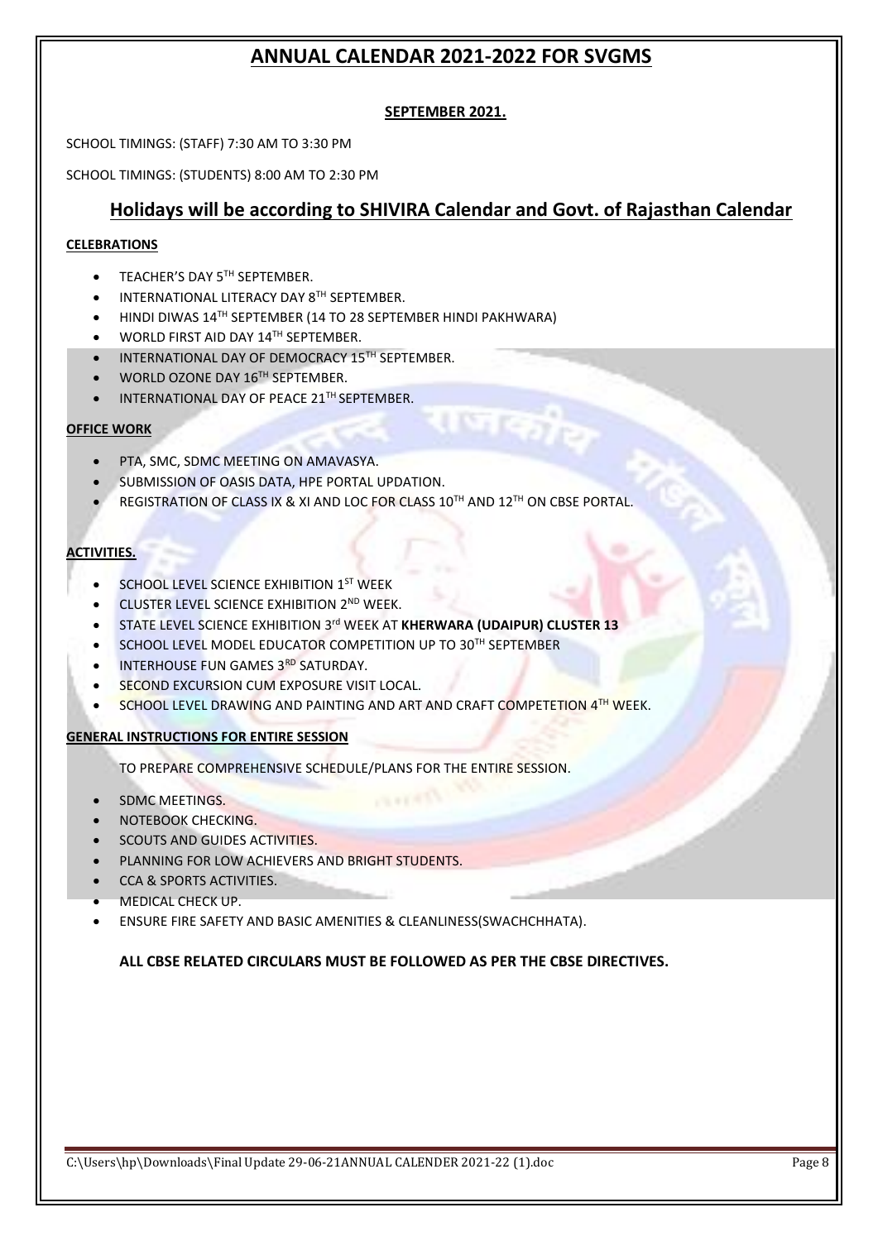## **SEPTEMBER 2021.**

SCHOOL TIMINGS: (STAFF) 7:30 AM TO 3:30 PM

SCHOOL TIMINGS: (STUDENTS) 8:00 AM TO 2:30 PM

# **Holidays will be according to SHIVIRA Calendar and Govt. of Rajasthan Calendar**

ा ज*को*ठ

### **CELEBRATIONS**

- **TEACHER'S DAY 5TH SEPTEMBER.**
- **INTERNATIONAL LITERACY DAY 8TH SEPTEMBER.**
- HINDI DIWAS 14TH SEPTEMBER (14 TO 28 SEPTEMBER HINDI PAKHWARA)
- **WORLD FIRST AID DAY 14TH SEPTEMBER.**
- INTERNATIONAL DAY OF DEMOCRACY 15TH SEPTEMBER.
- WORLD OZONE DAY 16TH SEPTEMBER.
- INTERNATIONAL DAY OF PEACE 21TH SEPTEMBER.

#### **OFFICE WORK**

- PTA, SMC, SDMC MEETING ON AMAVASYA.
- **SUBMISSION OF OASIS DATA, HPE PORTAL UPDATION.**
- REGISTRATION OF CLASS IX & XI AND LOC FOR CLASS 10TH AND 12TH ON CBSE PORTAL.

## **ACTIVITIES.**

- **SCHOOL LEVEL SCIENCE EXHIBITION 1ST WEEK**
- **CLUSTER LEVEL SCIENCE EXHIBITION 2ND WEEK.**
- STATE LEVEL SCIENCE EXHIBITION 3<sup>rd</sup> WEEK AT **KHERWARA (UDAIPUR) CLUSTER 13**
- SCHOOL LEVEL MODEL EDUCATOR COMPETITION UP TO 30TH SEPTEMBER
- **INTERHOUSE FUN GAMES 3RD SATURDAY.**
- SECOND EXCURSION CUM EXPOSURE VISIT LOCAL.
- SCHOOL LEVEL DRAWING AND PAINTING AND ART AND CRAFT COMPETETION 4TH WEEK.

#### **GENERAL INSTRUCTIONS FOR ENTIRE SESSION**

TO PREPARE COMPREHENSIVE SCHEDULE/PLANS FOR THE ENTIRE SESSION.

- SDMC MEETINGS.
- NOTEBOOK CHECKING.
- SCOUTS AND GUIDES ACTIVITIES.
- PLANNING FOR LOW ACHIEVERS AND BRIGHT STUDENTS.
- CCA & SPORTS ACTIVITIES.
- MEDICAL CHECK UP.
- ENSURE FIRE SAFETY AND BASIC AMENITIES & CLEANLINESS(SWACHCHHATA).

#### **ALL CBSE RELATED CIRCULARS MUST BE FOLLOWED AS PER THE CBSE DIRECTIVES.**

**CONTRACT**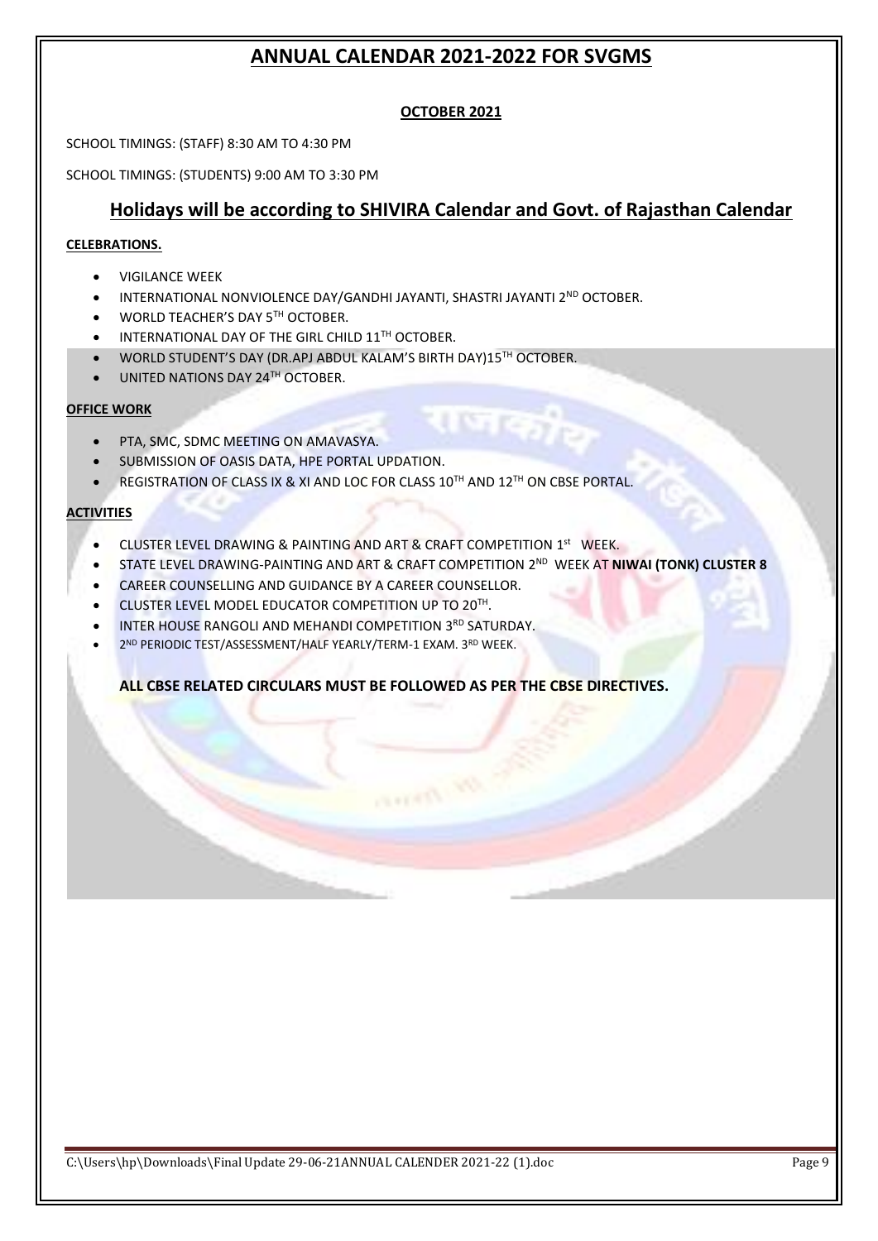## **OCTOBER 2021**

SCHOOL TIMINGS: (STAFF) 8:30 AM TO 4:30 PM

SCHOOL TIMINGS: (STUDENTS) 9:00 AM TO 3:30 PM

# **Holidays will be according to SHIVIRA Calendar and Govt. of Rajasthan Calendar**

usi

#### **CELEBRATIONS.**

- VIGILANCE WEEK
- INTERNATIONAL NONVIOLENCE DAY/GANDHI JAYANTI, SHASTRI JAYANTI 2<sup>ND</sup> OCTOBER.
- WORLD TEACHER'S DAY 5TH OCTOBER.
- **INTERNATIONAL DAY OF THE GIRL CHILD 11TH OCTOBER.**
- WORLD STUDENT'S DAY (DR.APJ ABDUL KALAM'S BIRTH DAY)15TH OCTOBER.
- UNITED NATIONS DAY 24TH OCTOBER.

#### **OFFICE WORK**

- PTA, SMC, SDMC MEETING ON AMAVASYA.
- SUBMISSION OF OASIS DATA, HPE PORTAL UPDATION.
- REGISTRATION OF CLASS IX & XI AND LOC FOR CLASS 10TH AND 12TH ON CBSE PORTAL.

#### **ACTIVITIES**

- CLUSTER LEVEL DRAWING & PAINTING AND ART & CRAFT COMPETITION 1<sup>st</sup> WEEK.
- **STATE LEVEL DRAWING-PAINTING AND ART & CRAFT COMPETITION 2<sup>ND</sup> WEEK AT NIWAI (TONK) CLUSTER 8**

or from

- CAREER COUNSELLING AND GUIDANCE BY A CAREER COUNSELLOR.
- CLUSTER LEVEL MODEL EDUCATOR COMPETITION UP TO 20TH.
- **INTER HOUSE RANGOLI AND MEHANDI COMPETITION 3RD SATURDAY.**
- 2<sup>ND</sup> PERIODIC TEST/ASSESSMENT/HALF YEARLY/TERM-1 EXAM. 3RD WEEK.

## **ALL CBSE RELATED CIRCULARS MUST BE FOLLOWED AS PER THE CBSE DIRECTIVES.**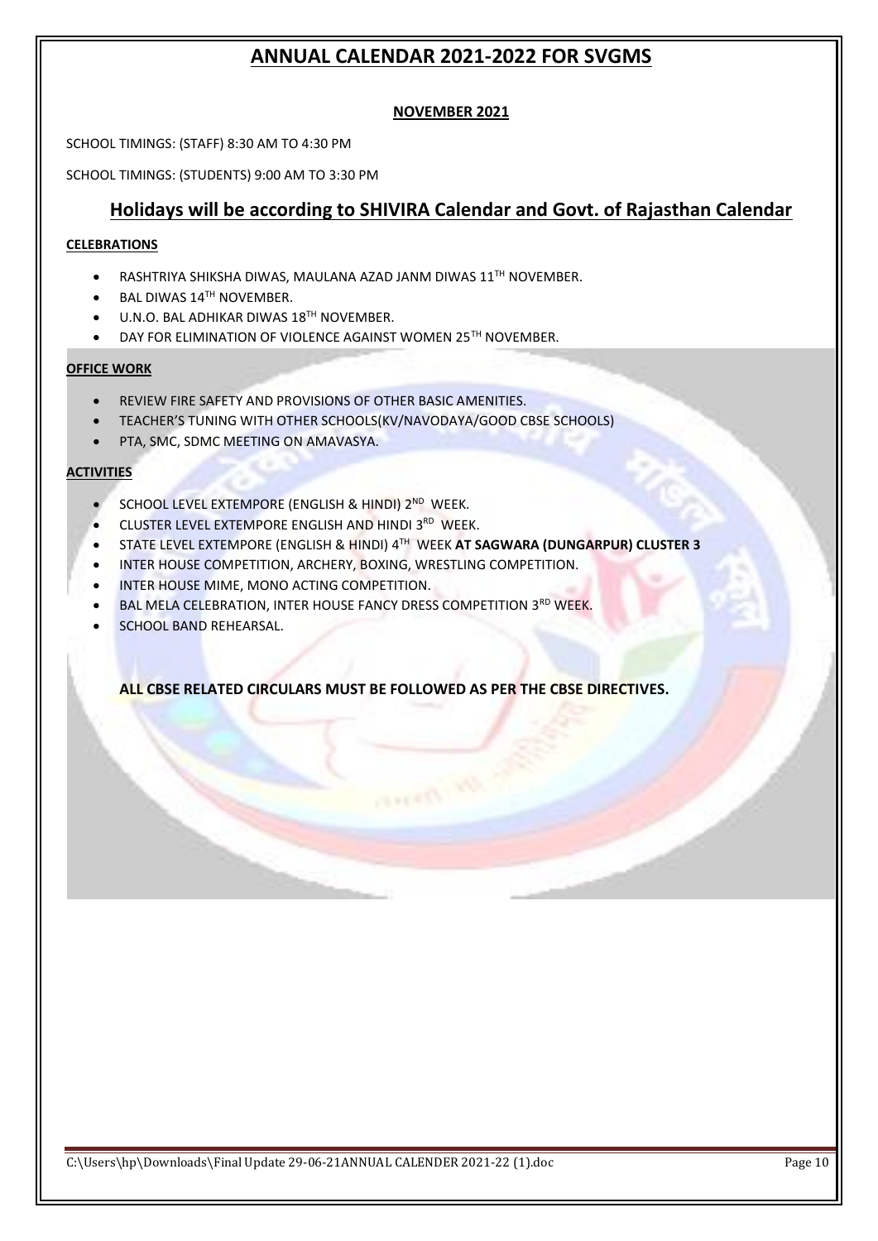### **NOVEMBER 2021**

SCHOOL TIMINGS: (STAFF) 8:30 AM TO 4:30 PM

SCHOOL TIMINGS: (STUDENTS) 9:00 AM TO 3:30 PM

## **Holidays will be according to SHIVIRA Calendar and Govt. of Rajasthan Calendar**

#### **CELEBRATIONS**

- RASHTRIYA SHIKSHA DIWAS, MAULANA AZAD JANM DIWAS 11TH NOVEMBER.
- BAL DIWAS 14TH NOVEMBER.
- **U.N.O. BAL ADHIKAR DIWAS 18<sup>TH</sup> NOVEMBER.**
- DAY FOR ELIMINATION OF VIOLENCE AGAINST WOMEN 25TH NOVEMBER.

#### **OFFICE WORK**

- REVIEW FIRE SAFETY AND PROVISIONS OF OTHER BASIC AMENITIES.
- TEACHER'S TUNING WITH OTHER SCHOOLS(KV/NAVODAYA/GOOD CBSE SCHOOLS)
- PTA, SMC, SDMC MEETING ON AMAVASYA.

#### **ACTIVITIES**

- SCHOOL LEVEL EXTEMPORE (ENGLISH & HINDI) 2<sup>ND</sup> WEEK.
- CLUSTER LEVEL EXTEMPORE ENGLISH AND HINDI 3RD WEEK.
- STATE LEVEL EXTEMPORE (ENGLISH & HINDI) 4 TH WEEK **AT SAGWARA (DUNGARPUR) CLUSTER 3**
- INTER HOUSE COMPETITION, ARCHERY, BOXING, WRESTLING COMPETITION.
- INTER HOUSE MIME, MONO ACTING COMPETITION.
- BAL MELA CELEBRATION, INTER HOUSE FANCY DRESS COMPETITION 3RD WEEK.
- SCHOOL BAND REHEARSAL.

**ALL CBSE RELATED CIRCULARS MUST BE FOLLOWED AS PER THE CBSE DIRECTIVES.**

or from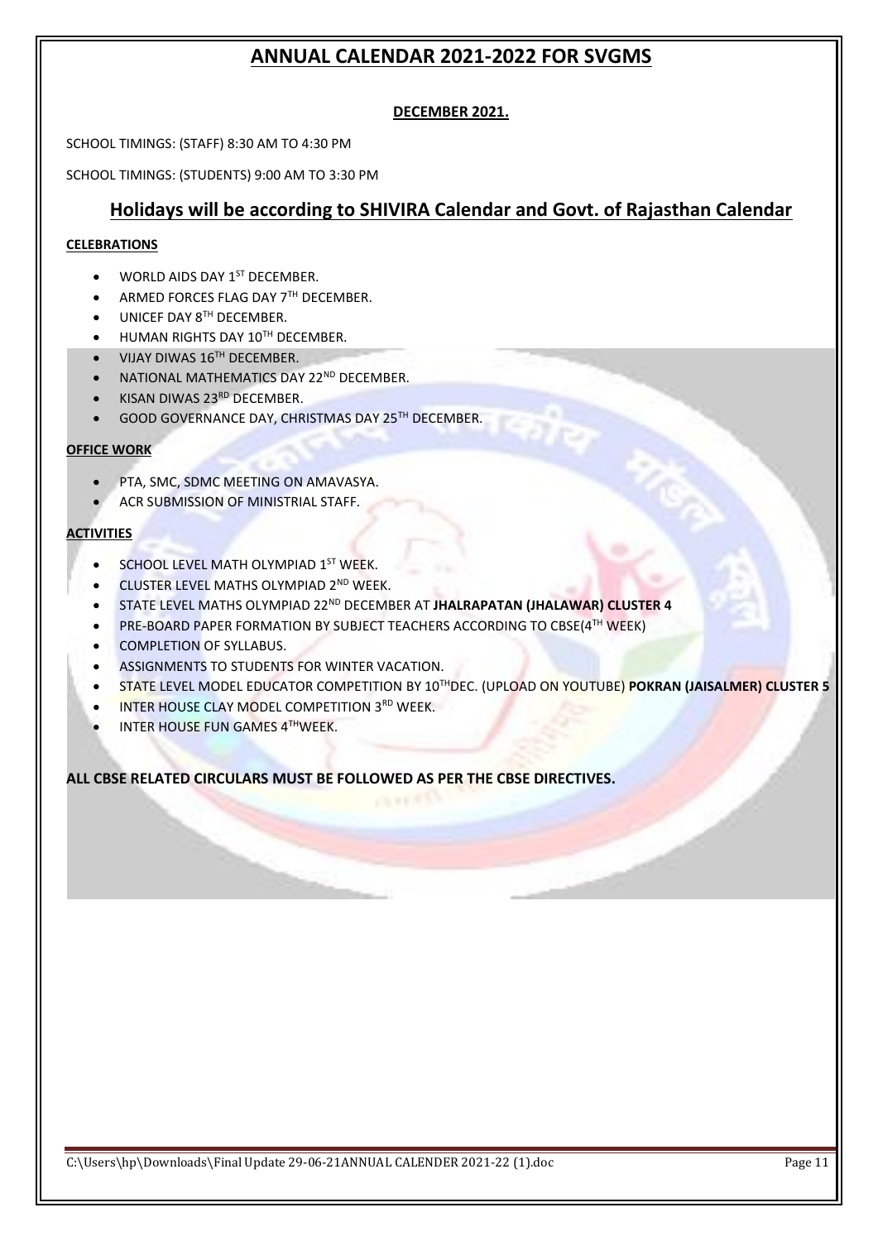## **DECEMBER 2021.**

SCHOOL TIMINGS: (STAFF) 8:30 AM TO 4:30 PM

SCHOOL TIMINGS: (STUDENTS) 9:00 AM TO 3:30 PM

## **Holidays will be according to SHIVIRA Calendar and Govt. of Rajasthan Calendar**

#### **CELEBRATIONS**

- $\bullet$  WORLD AIDS DAY  $1^{ST}$  DECEMBER.
- $\blacktriangleright$  ARMED FORCES FLAG DAY 7TH DECEMBER.
- $\bullet$  UNICEF DAY  $8^{TH}$  DECEMBER.
- HUMAN RIGHTS DAY 10TH DECEMBER.
- VIJAY DIWAS 16TH DECEMBER.
- NATIONAL MATHEMATICS DAY 22<sup>ND</sup> DECEMBER.
- KISAN DIWAS 23RD DECEMBER.
- GOOD GOVERNANCE DAY, CHRISTMAS DAY 25TH DECEMBER.

#### **OFFICE WORK**

- PTA, SMC, SDMC MEETING ON AMAVASYA.
- ACR SUBMISSION OF MINISTRIAL STAFF.

#### **ACTIVITIES**

- **SCHOOL LEVEL MATH OLYMPIAD 1ST WEEK.**
- CLUSTER LEVEL MATHS OLYMPIAD 2ND WEEK.
- STATE LEVEL MATHS OLYMPIAD 22ND DECEMBER AT **JHALRAPATAN (JHALAWAR) CLUSTER 4**
- **PRE-BOARD PAPER FORMATION BY SUBJECT TEACHERS ACCORDING TO CBSE(4TH WEEK)**
- COMPLETION OF SYLLABUS.
- ASSIGNMENTS TO STUDENTS FOR WINTER VACATION.
- STATE LEVEL MODEL EDUCATOR COMPETITION BY 10THDEC. (UPLOAD ON YOUTUBE) **POKRAN (JAISALMER) CLUSTER 5**
- INTER HOUSE CLAY MODEL COMPETITION 3RD WEEK.
- **INTER HOUSE FUN GAMES 4THWEEK.**

**ALL CBSE RELATED CIRCULARS MUST BE FOLLOWED AS PER THE CBSE DIRECTIVES.**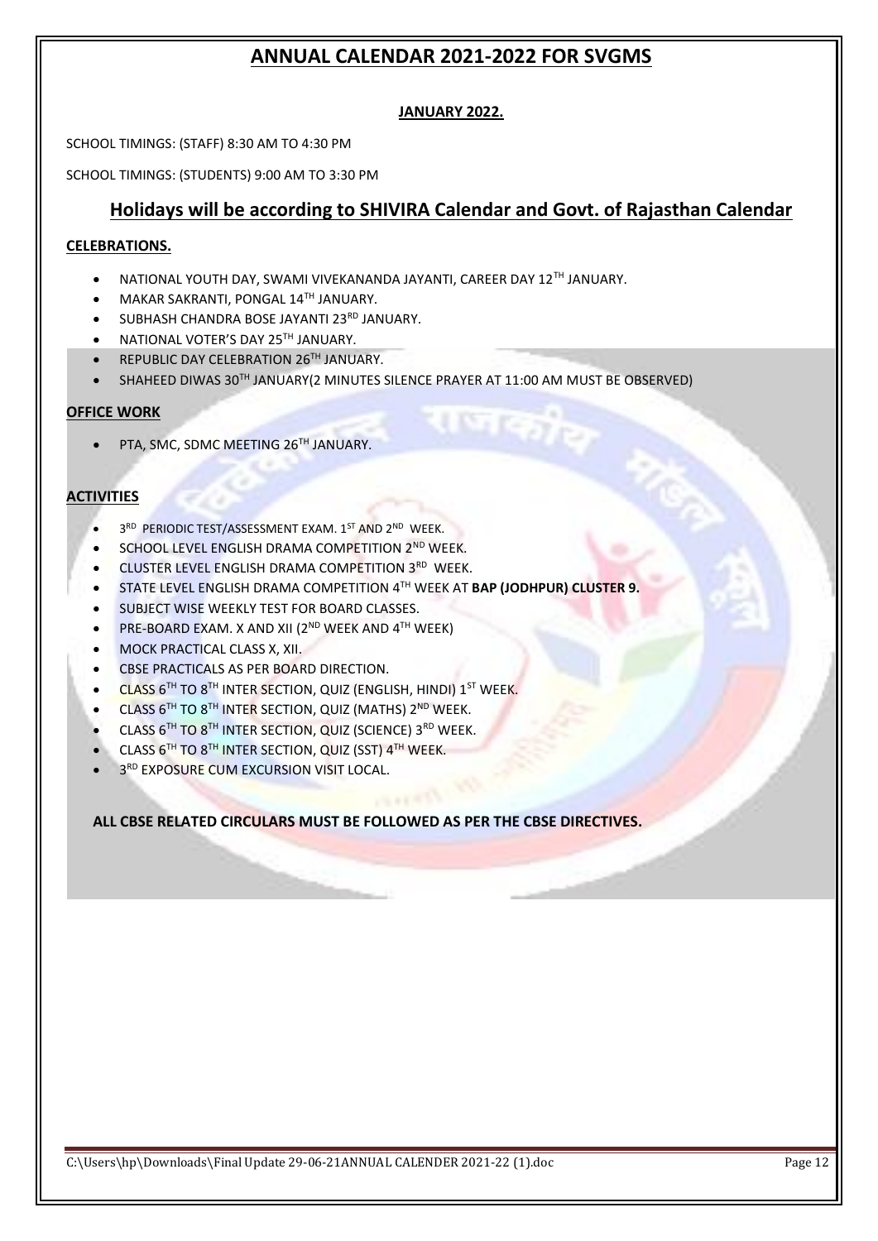### **JANUARY 2022.**

SCHOOL TIMINGS: (STAFF) 8:30 AM TO 4:30 PM

SCHOOL TIMINGS: (STUDENTS) 9:00 AM TO 3:30 PM

## **Holidays will be according to SHIVIRA Calendar and Govt. of Rajasthan Calendar**

गजक¦<sub>ट</sub>

### **CELEBRATIONS.**

- NATIONAL YOUTH DAY, SWAMI VIVEKANANDA JAYANTI, CAREER DAY 12TH JANUARY.
- MAKAR SAKRANTI, PONGAL 14TH JANUARY.
- SUBHASH CHANDRA BOSE JAYANTI 23RD JANUARY.
- NATIONAL VOTER'S DAY 25TH JANUARY.
- **REPUBLIC DAY CELEBRATION 26TH JANUARY.**
- SHAHEED DIWAS 30TH JANUARY(2 MINUTES SILENCE PRAYER AT 11:00 AM MUST BE OBSERVED)

### **OFFICE WORK**

• PTA, SMC, SDMC MEETING 26TH JANUARY.

## **ACTIVITIES**

- 3RD PERIODIC TEST/ASSESSMENT EXAM. 1ST AND 2ND WEEK.
- SCHOOL LEVEL ENGLISH DRAMA COMPETITION 2<sup>ND</sup> WEEK.
- CLUSTER LEVEL ENGLISH DRAMA COMPETITION 3RD WEEK.
- STATE LEVEL ENGLISH DRAMA COMPETITION 4 TH WEEK AT **BAP (JODHPUR) CLUSTER 9.**
- SUBJECT WISE WEEKLY TEST FOR BOARD CLASSES.
- PRE-BOARD EXAM. X AND XII (2<sup>ND</sup> WEEK AND 4<sup>TH</sup> WEEK)
- MOCK PRACTICAL CLASS X, XII.
- **CBSE PRACTICALS AS PER BOARD DIRECTION.**
- $\bullet$  CLASS 6TH TO 8TH INTER SECTION, QUIZ (ENGLISH, HINDI) 1ST WEEK.
- $\bullet$  CLASS 6<sup>TH</sup> TO 8<sup>TH</sup> INTER SECTION, QUIZ (MATHS) 2<sup>ND</sup> WEEK.
- $\bullet$  CLASS 6<sup>TH</sup> TO 8<sup>TH</sup> INTER SECTION, QUIZ (SCIENCE) 3<sup>RD</sup> WEEK.
- CLASS 6<sup>TH</sup> TO 8<sup>TH</sup> INTER SECTION, QUIZ (SST) 4<sup>TH</sup> WEEK.
- 3<sup>RD</sup> EXPOSURE CUM EXCURSION VISIT LOCAL.

**ALL CBSE RELATED CIRCULARS MUST BE FOLLOWED AS PER THE CBSE DIRECTIVES.**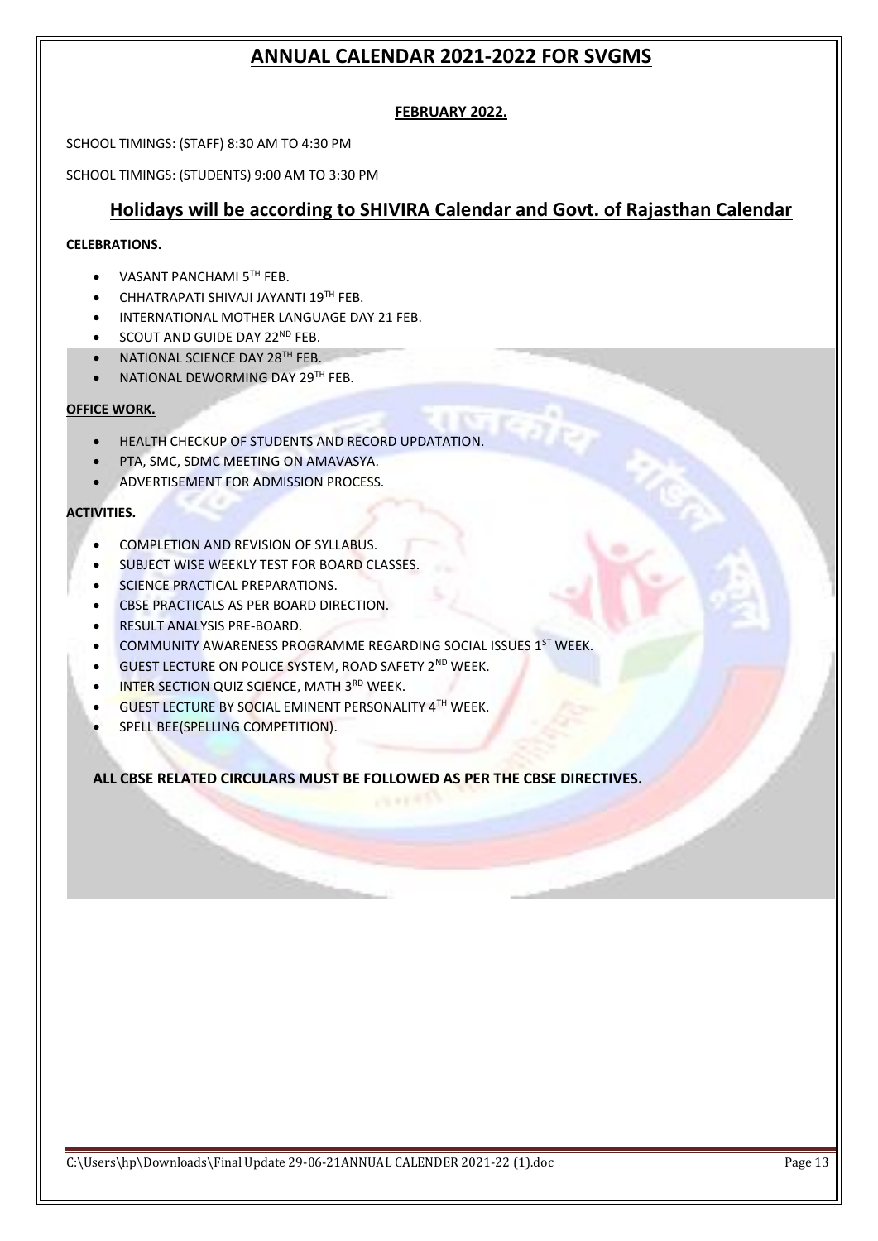## **FEBRUARY 2022.**

SCHOOL TIMINGS: (STAFF) 8:30 AM TO 4:30 PM

SCHOOL TIMINGS: (STUDENTS) 9:00 AM TO 3:30 PM

# **Holidays will be according to SHIVIRA Calendar and Govt. of Rajasthan Calendar**

#### **CELEBRATIONS.**

- VASANT PANCHAMI 5TH FEB.
- **CHHATRAPATI SHIVAJI JAYANTI 19TH FEB.**
- INTERNATIONAL MOTHER LANGUAGE DAY 21 FEB.
- $\bullet$  SCOUT AND GUIDE DAY 22<sup>ND</sup> FEB.
- NATIONAL SCIENCE DAY 28<sup>TH</sup> FEB.
- NATIONAL DEWORMING DAY 29TH FEB.

#### **OFFICE WORK.**

- HEALTH CHECKUP OF STUDENTS AND RECORD UPDATATION.
- **PTA, SMC, SDMC MEETING ON AMAVASYA.**
- ADVERTISEMENT FOR ADMISSION PROCESS.

#### **ACTIVITIES.**

- COMPLETION AND REVISION OF SYLLABUS.
- SUBJECT WISE WEEKLY TEST FOR BOARD CLASSES.
- **SCIENCE PRACTICAL PREPARATIONS.**
- CBSE PRACTICALS AS PER BOARD DIRECTION.
- RESULT ANALYSIS PRE-BOARD.
- COMMUNITY AWARENESS PROGRAMME REGARDING SOCIAL ISSUES 1ST WEEK.
- GUEST LECTURE ON POLICE SYSTEM, ROAD SAFETY 2ND WEEK.
- **INTER SECTION QUIZ SCIENCE, MATH 3RD WEEK.**
- **GUEST LECTURE BY SOCIAL EMINENT PERSONALITY 4TH WEEK.**
- SPELL BEE(SPELLING COMPETITION).

**ALL CBSE RELATED CIRCULARS MUST BE FOLLOWED AS PER THE CBSE DIRECTIVES.**